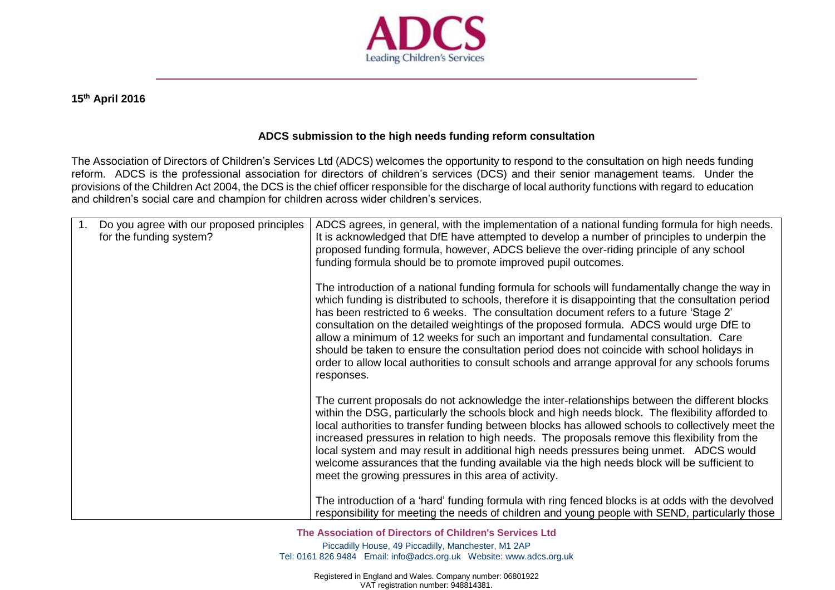

## **15th April 2016**

## **ADCS submission to the high needs funding reform consultation**

The Association of Directors of Children's Services Ltd (ADCS) welcomes the opportunity to respond to the consultation on high needs funding reform. ADCS is the professional association for directors of children's services (DCS) and their senior management teams. Under the provisions of the Children Act 2004, the DCS is the chief officer responsible for the discharge of local authority functions with regard to education and children's social care and champion for children across wider children's services.

| 1. | Do you agree with our proposed principles<br>for the funding system? | ADCS agrees, in general, with the implementation of a national funding formula for high needs.<br>It is acknowledged that DfE have attempted to develop a number of principles to underpin the<br>proposed funding formula, however, ADCS believe the over-riding principle of any school<br>funding formula should be to promote improved pupil outcomes.                                                                                                                                                                                                                                                                                                                                          |
|----|----------------------------------------------------------------------|-----------------------------------------------------------------------------------------------------------------------------------------------------------------------------------------------------------------------------------------------------------------------------------------------------------------------------------------------------------------------------------------------------------------------------------------------------------------------------------------------------------------------------------------------------------------------------------------------------------------------------------------------------------------------------------------------------|
|    |                                                                      | The introduction of a national funding formula for schools will fundamentally change the way in<br>which funding is distributed to schools, therefore it is disappointing that the consultation period<br>has been restricted to 6 weeks. The consultation document refers to a future 'Stage 2'<br>consultation on the detailed weightings of the proposed formula. ADCS would urge DfE to<br>allow a minimum of 12 weeks for such an important and fundamental consultation. Care<br>should be taken to ensure the consultation period does not coincide with school holidays in<br>order to allow local authorities to consult schools and arrange approval for any schools forums<br>responses. |
|    |                                                                      | The current proposals do not acknowledge the inter-relationships between the different blocks<br>within the DSG, particularly the schools block and high needs block. The flexibility afforded to<br>local authorities to transfer funding between blocks has allowed schools to collectively meet the<br>increased pressures in relation to high needs. The proposals remove this flexibility from the<br>local system and may result in additional high needs pressures being unmet. ADCS would<br>welcome assurances that the funding available via the high needs block will be sufficient to<br>meet the growing pressures in this area of activity.                                           |
|    |                                                                      | The introduction of a 'hard' funding formula with ring fenced blocks is at odds with the devolved<br>responsibility for meeting the needs of children and young people with SEND, particularly those                                                                                                                                                                                                                                                                                                                                                                                                                                                                                                |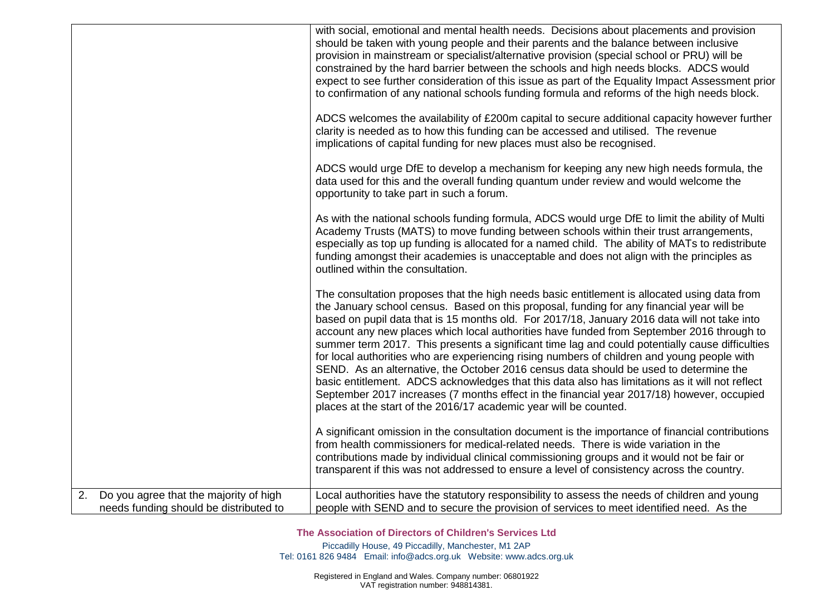|                                                                                     | with social, emotional and mental health needs. Decisions about placements and provision<br>should be taken with young people and their parents and the balance between inclusive<br>provision in mainstream or specialist/alternative provision (special school or PRU) will be<br>constrained by the hard barrier between the schools and high needs blocks. ADCS would<br>expect to see further consideration of this issue as part of the Equality Impact Assessment prior<br>to confirmation of any national schools funding formula and reforms of the high needs block.<br>ADCS welcomes the availability of £200m capital to secure additional capacity however further<br>clarity is needed as to how this funding can be accessed and utilised. The revenue<br>implications of capital funding for new places must also be recognised.<br>ADCS would urge DfE to develop a mechanism for keeping any new high needs formula, the<br>data used for this and the overall funding quantum under review and would welcome the<br>opportunity to take part in such a forum.<br>As with the national schools funding formula, ADCS would urge DfE to limit the ability of Multi |
|-------------------------------------------------------------------------------------|-------------------------------------------------------------------------------------------------------------------------------------------------------------------------------------------------------------------------------------------------------------------------------------------------------------------------------------------------------------------------------------------------------------------------------------------------------------------------------------------------------------------------------------------------------------------------------------------------------------------------------------------------------------------------------------------------------------------------------------------------------------------------------------------------------------------------------------------------------------------------------------------------------------------------------------------------------------------------------------------------------------------------------------------------------------------------------------------------------------------------------------------------------------------------------------|
|                                                                                     | Academy Trusts (MATS) to move funding between schools within their trust arrangements,<br>especially as top up funding is allocated for a named child. The ability of MATs to redistribute<br>funding amongst their academies is unacceptable and does not align with the principles as<br>outlined within the consultation.                                                                                                                                                                                                                                                                                                                                                                                                                                                                                                                                                                                                                                                                                                                                                                                                                                                        |
|                                                                                     | The consultation proposes that the high needs basic entitlement is allocated using data from<br>the January school census. Based on this proposal, funding for any financial year will be<br>based on pupil data that is 15 months old. For 2017/18, January 2016 data will not take into<br>account any new places which local authorities have funded from September 2016 through to<br>summer term 2017. This presents a significant time lag and could potentially cause difficulties<br>for local authorities who are experiencing rising numbers of children and young people with<br>SEND. As an alternative, the October 2016 census data should be used to determine the<br>basic entitlement. ADCS acknowledges that this data also has limitations as it will not reflect<br>September 2017 increases (7 months effect in the financial year 2017/18) however, occupied<br>places at the start of the 2016/17 academic year will be counted.                                                                                                                                                                                                                             |
|                                                                                     | A significant omission in the consultation document is the importance of financial contributions<br>from health commissioners for medical-related needs. There is wide variation in the<br>contributions made by individual clinical commissioning groups and it would not be fair or<br>transparent if this was not addressed to ensure a level of consistency across the country.                                                                                                                                                                                                                                                                                                                                                                                                                                                                                                                                                                                                                                                                                                                                                                                                 |
| 2. Do you agree that the majority of high<br>needs funding should be distributed to | Local authorities have the statutory responsibility to assess the needs of children and young<br>people with SEND and to secure the provision of services to meet identified need. As the                                                                                                                                                                                                                                                                                                                                                                                                                                                                                                                                                                                                                                                                                                                                                                                                                                                                                                                                                                                           |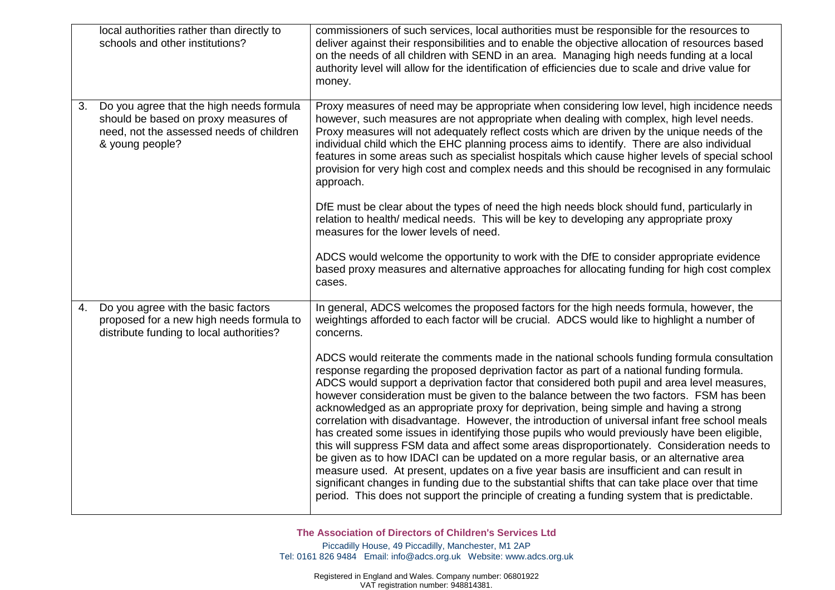|    | local authorities rather than directly to<br>schools and other institutions?                                                                    | commissioners of such services, local authorities must be responsible for the resources to<br>deliver against their responsibilities and to enable the objective allocation of resources based<br>on the needs of all children with SEND in an area. Managing high needs funding at a local<br>authority level will allow for the identification of efficiencies due to scale and drive value for<br>money.                                                                                                                                                                                                                                                                                                                                                                                                                                                                                                                                                                                                                                                                                                                                                                 |
|----|-------------------------------------------------------------------------------------------------------------------------------------------------|-----------------------------------------------------------------------------------------------------------------------------------------------------------------------------------------------------------------------------------------------------------------------------------------------------------------------------------------------------------------------------------------------------------------------------------------------------------------------------------------------------------------------------------------------------------------------------------------------------------------------------------------------------------------------------------------------------------------------------------------------------------------------------------------------------------------------------------------------------------------------------------------------------------------------------------------------------------------------------------------------------------------------------------------------------------------------------------------------------------------------------------------------------------------------------|
| 3. | Do you agree that the high needs formula<br>should be based on proxy measures of<br>need, not the assessed needs of children<br>& young people? | Proxy measures of need may be appropriate when considering low level, high incidence needs<br>however, such measures are not appropriate when dealing with complex, high level needs.<br>Proxy measures will not adequately reflect costs which are driven by the unique needs of the<br>individual child which the EHC planning process aims to identify. There are also individual<br>features in some areas such as specialist hospitals which cause higher levels of special school<br>provision for very high cost and complex needs and this should be recognised in any formulaic<br>approach.<br>DfE must be clear about the types of need the high needs block should fund, particularly in                                                                                                                                                                                                                                                                                                                                                                                                                                                                        |
|    |                                                                                                                                                 | relation to health/ medical needs. This will be key to developing any appropriate proxy<br>measures for the lower levels of need.<br>ADCS would welcome the opportunity to work with the DfE to consider appropriate evidence                                                                                                                                                                                                                                                                                                                                                                                                                                                                                                                                                                                                                                                                                                                                                                                                                                                                                                                                               |
|    |                                                                                                                                                 | based proxy measures and alternative approaches for allocating funding for high cost complex<br>cases.                                                                                                                                                                                                                                                                                                                                                                                                                                                                                                                                                                                                                                                                                                                                                                                                                                                                                                                                                                                                                                                                      |
| 4. | Do you agree with the basic factors<br>proposed for a new high needs formula to<br>distribute funding to local authorities?                     | In general, ADCS welcomes the proposed factors for the high needs formula, however, the<br>weightings afforded to each factor will be crucial. ADCS would like to highlight a number of<br>concerns.                                                                                                                                                                                                                                                                                                                                                                                                                                                                                                                                                                                                                                                                                                                                                                                                                                                                                                                                                                        |
|    |                                                                                                                                                 | ADCS would reiterate the comments made in the national schools funding formula consultation<br>response regarding the proposed deprivation factor as part of a national funding formula.<br>ADCS would support a deprivation factor that considered both pupil and area level measures,<br>however consideration must be given to the balance between the two factors. FSM has been<br>acknowledged as an appropriate proxy for deprivation, being simple and having a strong<br>correlation with disadvantage. However, the introduction of universal infant free school meals<br>has created some issues in identifying those pupils who would previously have been eligible,<br>this will suppress FSM data and affect some areas disproportionately. Consideration needs to<br>be given as to how IDACI can be updated on a more regular basis, or an alternative area<br>measure used. At present, updates on a five year basis are insufficient and can result in<br>significant changes in funding due to the substantial shifts that can take place over that time<br>period. This does not support the principle of creating a funding system that is predictable. |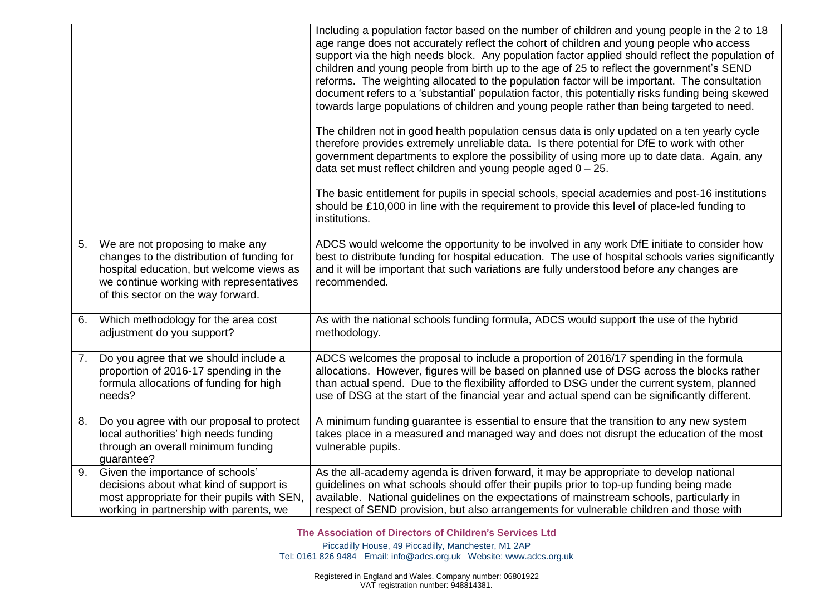|    |                                                                                                                                                                                                              | Including a population factor based on the number of children and young people in the 2 to 18<br>age range does not accurately reflect the cohort of children and young people who access<br>support via the high needs block. Any population factor applied should reflect the population of<br>children and young people from birth up to the age of 25 to reflect the government's SEND<br>reforms. The weighting allocated to the population factor will be important. The consultation<br>document refers to a 'substantial' population factor, this potentially risks funding being skewed<br>towards large populations of children and young people rather than being targeted to need.<br>The children not in good health population census data is only updated on a ten yearly cycle<br>therefore provides extremely unreliable data. Is there potential for DfE to work with other<br>government departments to explore the possibility of using more up to date data. Again, any<br>data set must reflect children and young people aged $0 - 25$ .<br>The basic entitlement for pupils in special schools, special academies and post-16 institutions |
|----|--------------------------------------------------------------------------------------------------------------------------------------------------------------------------------------------------------------|--------------------------------------------------------------------------------------------------------------------------------------------------------------------------------------------------------------------------------------------------------------------------------------------------------------------------------------------------------------------------------------------------------------------------------------------------------------------------------------------------------------------------------------------------------------------------------------------------------------------------------------------------------------------------------------------------------------------------------------------------------------------------------------------------------------------------------------------------------------------------------------------------------------------------------------------------------------------------------------------------------------------------------------------------------------------------------------------------------------------------------------------------------------------|
|    |                                                                                                                                                                                                              | should be £10,000 in line with the requirement to provide this level of place-led funding to<br>institutions.                                                                                                                                                                                                                                                                                                                                                                                                                                                                                                                                                                                                                                                                                                                                                                                                                                                                                                                                                                                                                                                      |
| 5. | We are not proposing to make any<br>changes to the distribution of funding for<br>hospital education, but welcome views as<br>we continue working with representatives<br>of this sector on the way forward. | ADCS would welcome the opportunity to be involved in any work DfE initiate to consider how<br>best to distribute funding for hospital education. The use of hospital schools varies significantly<br>and it will be important that such variations are fully understood before any changes are<br>recommended.                                                                                                                                                                                                                                                                                                                                                                                                                                                                                                                                                                                                                                                                                                                                                                                                                                                     |
| 6. | Which methodology for the area cost<br>adjustment do you support?                                                                                                                                            | As with the national schools funding formula, ADCS would support the use of the hybrid<br>methodology.                                                                                                                                                                                                                                                                                                                                                                                                                                                                                                                                                                                                                                                                                                                                                                                                                                                                                                                                                                                                                                                             |
| 7. | Do you agree that we should include a<br>proportion of 2016-17 spending in the<br>formula allocations of funding for high<br>needs?                                                                          | ADCS welcomes the proposal to include a proportion of 2016/17 spending in the formula<br>allocations. However, figures will be based on planned use of DSG across the blocks rather<br>than actual spend. Due to the flexibility afforded to DSG under the current system, planned<br>use of DSG at the start of the financial year and actual spend can be significantly different.                                                                                                                                                                                                                                                                                                                                                                                                                                                                                                                                                                                                                                                                                                                                                                               |
| 8. | Do you agree with our proposal to protect<br>local authorities' high needs funding<br>through an overall minimum funding<br>guarantee?                                                                       | A minimum funding guarantee is essential to ensure that the transition to any new system<br>takes place in a measured and managed way and does not disrupt the education of the most<br>vulnerable pupils.                                                                                                                                                                                                                                                                                                                                                                                                                                                                                                                                                                                                                                                                                                                                                                                                                                                                                                                                                         |
| 9. | Given the importance of schools'<br>decisions about what kind of support is<br>most appropriate for their pupils with SEN,<br>working in partnership with parents, we                                        | As the all-academy agenda is driven forward, it may be appropriate to develop national<br>guidelines on what schools should offer their pupils prior to top-up funding being made<br>available. National guidelines on the expectations of mainstream schools, particularly in<br>respect of SEND provision, but also arrangements for vulnerable children and those with                                                                                                                                                                                                                                                                                                                                                                                                                                                                                                                                                                                                                                                                                                                                                                                          |

**The Association of Directors of Children**'**s Services Ltd**

Piccadilly House, 49 Piccadilly, Manchester, M1 2AP Tel: 0161 826 9484 Email: [info@adcs.org.uk](mailto:info@adcs.org.uk) Website: [www.adcs.org.uk](http://www.adcs.org.uk/)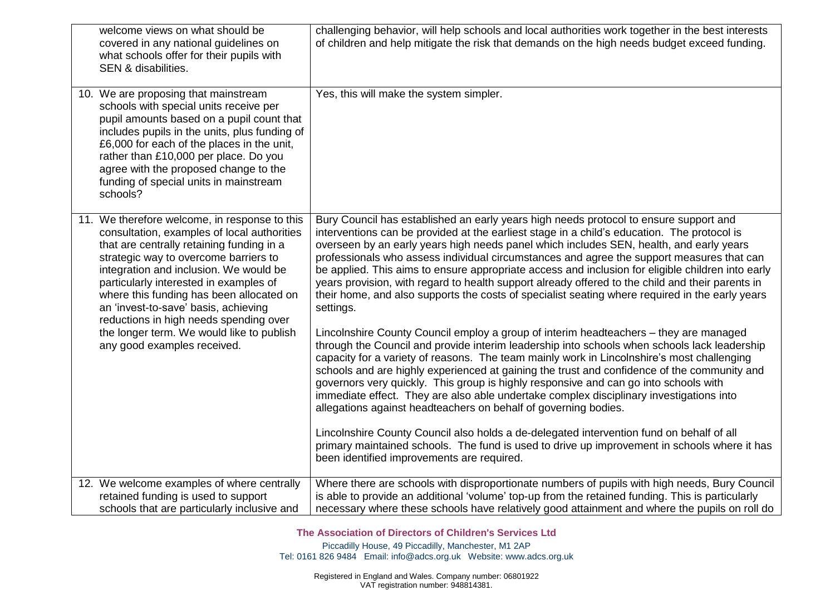| welcome views on what should be<br>covered in any national guidelines on<br>what schools offer for their pupils with<br>SEN & disabilities.                                                                                                                                                                                                                                                                                                                                      | challenging behavior, will help schools and local authorities work together in the best interests<br>of children and help mitigate the risk that demands on the high needs budget exceed funding.                                                                                                                                                                                                                                                                                                                                                                                                                                                                                                                                                                                                                                                                                                                                                                                                                                                                                                                                                                                                                                                                                                                                                                                                                                                                                                                                                                                           |
|----------------------------------------------------------------------------------------------------------------------------------------------------------------------------------------------------------------------------------------------------------------------------------------------------------------------------------------------------------------------------------------------------------------------------------------------------------------------------------|---------------------------------------------------------------------------------------------------------------------------------------------------------------------------------------------------------------------------------------------------------------------------------------------------------------------------------------------------------------------------------------------------------------------------------------------------------------------------------------------------------------------------------------------------------------------------------------------------------------------------------------------------------------------------------------------------------------------------------------------------------------------------------------------------------------------------------------------------------------------------------------------------------------------------------------------------------------------------------------------------------------------------------------------------------------------------------------------------------------------------------------------------------------------------------------------------------------------------------------------------------------------------------------------------------------------------------------------------------------------------------------------------------------------------------------------------------------------------------------------------------------------------------------------------------------------------------------------|
| 10. We are proposing that mainstream<br>schools with special units receive per<br>pupil amounts based on a pupil count that<br>includes pupils in the units, plus funding of<br>£6,000 for each of the places in the unit,<br>rather than £10,000 per place. Do you<br>agree with the proposed change to the<br>funding of special units in mainstream<br>schools?                                                                                                               | Yes, this will make the system simpler.                                                                                                                                                                                                                                                                                                                                                                                                                                                                                                                                                                                                                                                                                                                                                                                                                                                                                                                                                                                                                                                                                                                                                                                                                                                                                                                                                                                                                                                                                                                                                     |
| 11. We therefore welcome, in response to this<br>consultation, examples of local authorities<br>that are centrally retaining funding in a<br>strategic way to overcome barriers to<br>integration and inclusion. We would be<br>particularly interested in examples of<br>where this funding has been allocated on<br>an 'invest-to-save' basis, achieving<br>reductions in high needs spending over<br>the longer term. We would like to publish<br>any good examples received. | Bury Council has established an early years high needs protocol to ensure support and<br>interventions can be provided at the earliest stage in a child's education. The protocol is<br>overseen by an early years high needs panel which includes SEN, health, and early years<br>professionals who assess individual circumstances and agree the support measures that can<br>be applied. This aims to ensure appropriate access and inclusion for eligible children into early<br>years provision, with regard to health support already offered to the child and their parents in<br>their home, and also supports the costs of specialist seating where required in the early years<br>settings.<br>Lincolnshire County Council employ a group of interim headteachers - they are managed<br>through the Council and provide interim leadership into schools when schools lack leadership<br>capacity for a variety of reasons. The team mainly work in Lincolnshire's most challenging<br>schools and are highly experienced at gaining the trust and confidence of the community and<br>governors very quickly. This group is highly responsive and can go into schools with<br>immediate effect. They are also able undertake complex disciplinary investigations into<br>allegations against headteachers on behalf of governing bodies.<br>Lincolnshire County Council also holds a de-delegated intervention fund on behalf of all<br>primary maintained schools. The fund is used to drive up improvement in schools where it has<br>been identified improvements are required. |
| 12. We welcome examples of where centrally<br>retained funding is used to support<br>schools that are particularly inclusive and                                                                                                                                                                                                                                                                                                                                                 | Where there are schools with disproportionate numbers of pupils with high needs, Bury Council<br>is able to provide an additional 'volume' top-up from the retained funding. This is particularly<br>necessary where these schools have relatively good attainment and where the pupils on roll do                                                                                                                                                                                                                                                                                                                                                                                                                                                                                                                                                                                                                                                                                                                                                                                                                                                                                                                                                                                                                                                                                                                                                                                                                                                                                          |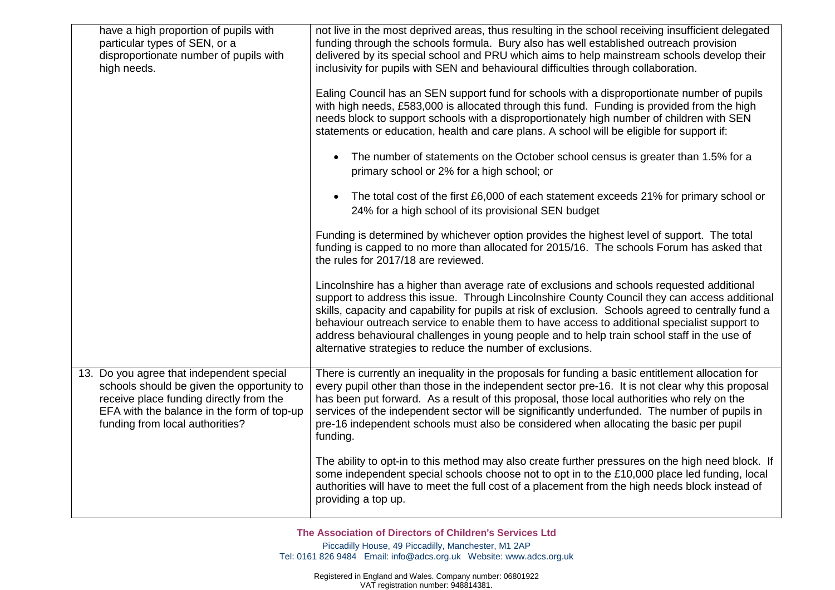| have a high proportion of pupils with<br>particular types of SEN, or a<br>disproportionate number of pupils with<br>high needs.                                                                                     | not live in the most deprived areas, thus resulting in the school receiving insufficient delegated<br>funding through the schools formula. Bury also has well established outreach provision<br>delivered by its special school and PRU which aims to help mainstream schools develop their<br>inclusivity for pupils with SEN and behavioural difficulties through collaboration.<br>Ealing Council has an SEN support fund for schools with a disproportionate number of pupils<br>with high needs, £583,000 is allocated through this fund. Funding is provided from the high<br>needs block to support schools with a disproportionately high number of children with SEN<br>statements or education, health and care plans. A school will be eligible for support if: |
|---------------------------------------------------------------------------------------------------------------------------------------------------------------------------------------------------------------------|----------------------------------------------------------------------------------------------------------------------------------------------------------------------------------------------------------------------------------------------------------------------------------------------------------------------------------------------------------------------------------------------------------------------------------------------------------------------------------------------------------------------------------------------------------------------------------------------------------------------------------------------------------------------------------------------------------------------------------------------------------------------------|
|                                                                                                                                                                                                                     | The number of statements on the October school census is greater than 1.5% for a<br>$\bullet$<br>primary school or 2% for a high school; or                                                                                                                                                                                                                                                                                                                                                                                                                                                                                                                                                                                                                                |
|                                                                                                                                                                                                                     | The total cost of the first £6,000 of each statement exceeds 21% for primary school or<br>$\bullet$<br>24% for a high school of its provisional SEN budget                                                                                                                                                                                                                                                                                                                                                                                                                                                                                                                                                                                                                 |
|                                                                                                                                                                                                                     | Funding is determined by whichever option provides the highest level of support. The total<br>funding is capped to no more than allocated for 2015/16. The schools Forum has asked that<br>the rules for 2017/18 are reviewed.                                                                                                                                                                                                                                                                                                                                                                                                                                                                                                                                             |
|                                                                                                                                                                                                                     | Lincolnshire has a higher than average rate of exclusions and schools requested additional<br>support to address this issue. Through Lincolnshire County Council they can access additional<br>skills, capacity and capability for pupils at risk of exclusion. Schools agreed to centrally fund a<br>behaviour outreach service to enable them to have access to additional specialist support to<br>address behavioural challenges in young people and to help train school staff in the use of<br>alternative strategies to reduce the number of exclusions.                                                                                                                                                                                                            |
| 13. Do you agree that independent special<br>schools should be given the opportunity to<br>receive place funding directly from the<br>EFA with the balance in the form of top-up<br>funding from local authorities? | There is currently an inequality in the proposals for funding a basic entitlement allocation for<br>every pupil other than those in the independent sector pre-16. It is not clear why this proposal<br>has been put forward. As a result of this proposal, those local authorities who rely on the<br>services of the independent sector will be significantly underfunded. The number of pupils in<br>pre-16 independent schools must also be considered when allocating the basic per pupil<br>funding.                                                                                                                                                                                                                                                                 |
|                                                                                                                                                                                                                     | The ability to opt-in to this method may also create further pressures on the high need block. If<br>some independent special schools choose not to opt in to the £10,000 place led funding, local<br>authorities will have to meet the full cost of a placement from the high needs block instead of<br>providing a top up.                                                                                                                                                                                                                                                                                                                                                                                                                                               |